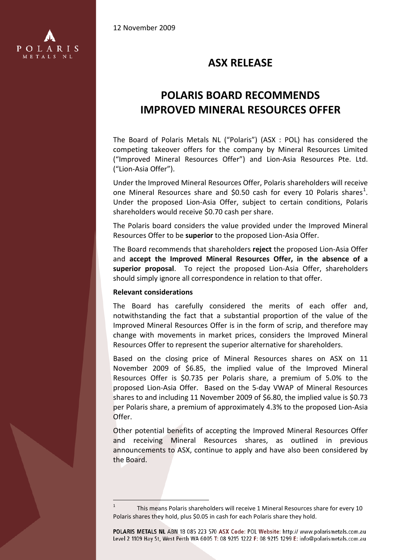12 November 2009



# **ASX RELEASE**

# **POLARIS BOARD RECOMMENDS IMPROVED MINERAL RESOURCES OFFER**

The Board of Polaris Metals NL ("Polaris") (ASX : POL) has considered the competing takeover offers for the company by Mineral Resources Limited ("Improved Mineral Resources Offer") and Lion-Asia Resources Pte. Ltd. ("Lion-Asia Offer").

Under the Improved Mineral Resources Offer, Polaris shareholders will receive one Mineral Resources share and \$0.50 cash for every [1](#page-0-0)0 Polaris shares<sup>1</sup>. Under the proposed Lion-Asia Offer, subject to certain conditions, Polaris shareholders would receive \$0.70 cash per share.

The Polaris board considers the value provided under the Improved Mineral Resources Offer to be **superior** to the proposed Lion-Asia Offer.

The Board recommends that shareholders **reject** the proposed Lion-Asia Offer and **accept the Improved Mineral Resources Offer, in the absence of a superior proposal**. To reject the proposed Lion-Asia Offer, shareholders should simply ignore all correspondence in relation to that offer.

## **Relevant considerations**

 $\overline{a}$ 

The Board has carefully considered the merits of each offer and, notwithstanding the fact that a substantial proportion of the value of the Improved Mineral Resources Offer is in the form of scrip, and therefore may change with movements in market prices, considers the Improved Mineral Resources Offer to represent the superior alternative for shareholders.

Based on the closing price of Mineral Resources shares on ASX on 11 November 2009 of \$6.85, the implied value of the Improved Mineral Resources Offer is \$0.735 per Polaris share, a premium of 5.0% to the proposed Lion-Asia Offer. Based on the 5-day VWAP of Mineral Resources shares to and including 11 November 2009 of \$6.80, the implied value is \$0.73 per Polaris share, a premium of approximately 4.3% to the proposed Lion-Asia Offer.

Other potential benefits of accepting the Improved Mineral Resources Offer and receiving Mineral Resources shares, as outlined in previous announcements to ASX, continue to apply and have also been considered by the Board.

<span id="page-0-0"></span><sup>1</sup> This means Polaris shareholders will receive 1 Mineral Resources share for every 10 Polaris shares they hold, plus \$0.05 in cash for each Polaris share they hold.

POLARIS METALS NL ABN 18 085 223 570 ASX Code: POL Website: http:// www.polarismetals.com.au Level 2 1109 Hay St, West Perth WA 6005 T: 08 9215 1222 F: 08 9215 1299 E: info@polarismetals.com.au